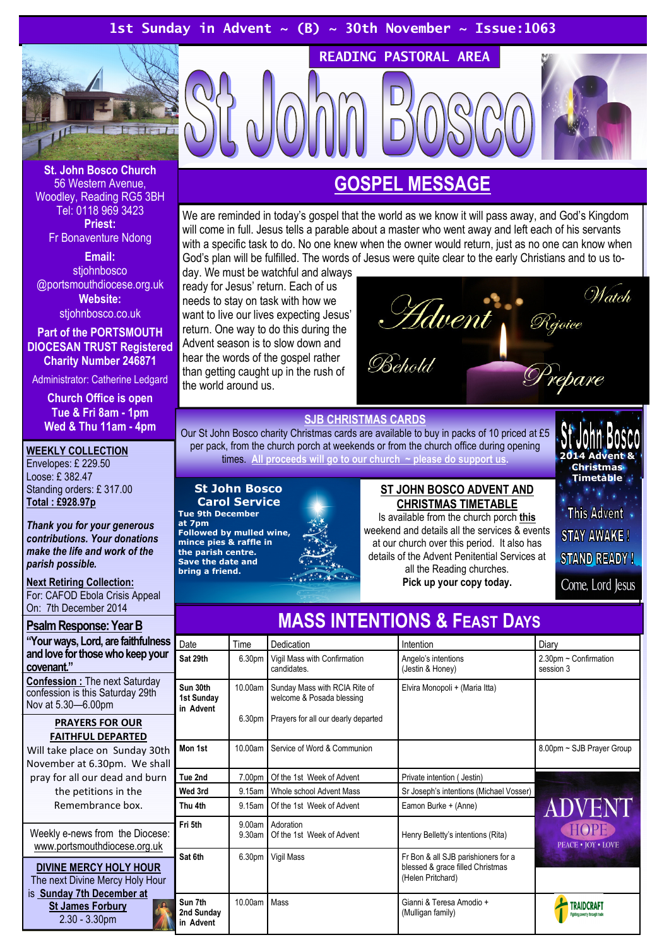# 1st Sunday in Advent ~ (B) ~ 30th November ~ Issue:1063



St. John Bosco Church 56 Western Avenue, Woodley, Reading RG5 3BH Tel: 0118 969 3423 Priest: Fr Bonaventure Ndong

Email: stjohnbosco @portsmouthdiocese.org.uk Website: stjohnbosco.co.uk

Part of the PORTSMOUTH DIOCESAN TRUST Registered Charity Number 246871

Administrator: Catherine Ledgard

Church Office is open Tue & Fri 8am - 1pm Wed & Thu 11am - 4pm

### WEEKLY COLLECTION

Envelopes: £ 229.50 Loose: £ 382.47 Standing orders: £ 317.00 Total : £928.97p

Thank you for your generous contributions. Your donations make the life and work of the parish possible.

# **Next Retiring Collection:**

For: CAFOD Ebola Crisis Appeal On: 7th December 2014

### Psalm Response: Year B

"Your ways, Lord, are faithfulness and love for those who keep your covenant." Confession : The next Saturday confession is this Saturday 29th Nov at 5.30—6.00pm

### PRAYERS FOR OUR FAITHFUL DEPARTED

Will take place on Sunday 30th November at 6.30pm. We shall pray for all our dead and burn the petitions in the Remembrance box.

Weekly e-news from the Diocese: www.portsmouthdiocese.org.uk

DIVINE MERCY HOLY HOUR The next Divine Mercy Holy Hour is Sunday 7th December at St James Forbury 2.30 - 3.30pm

# GOSPEL MESSAGE

READING PASTORAL AREA

We are reminded in today's gospel that the world as we know it will pass away, and God's Kingdom will come in full. Jesus tells a parable about a master who went away and left each of his servants with a specific task to do. No one knew when the owner would return, just as no one can know when God's plan will be fulfilled. The words of Jesus were quite clear to the early Christians and to us to-

day. We must be watchful and always ready for Jesus' return. Each of us needs to stay on task with how we want to live our lives expecting Jesus' return. One way to do this during the Advent season is to slow down and hear the words of the gospel rather than getting caught up in the rush of the world around us.



### SJB CHRISTMAS CARDS

Our St John Bosco charity Christmas cards are available to buy in packs of 10 priced at £5 per pack, from the church porch at weekends or from the church office during opening times. All proceeds will go to our church  $\sim$  please do support us.

St John Bosco Carol Service Tue 9th December

at 7pm Followed by mulled wine, mince pies & raffle in the parish centre. Save the date and bring a friend.

### ST JOHN BOSCO ADVENT AND CHRISTMAS TIMETABLE

Is available from the church porch this weekend and details all the services & events at our church over this period. It also has details of the Advent Penitential Services at all the Reading churches. Pick up your copy today.

2014 Advent & Christmas Timetable **This Advent STAY AWAKE! STAND READY!** 

Come, Lord Jesus

| <u>MAUU INTENTIUNU &amp; LEAST DATS</u> |                  |                                                            |                                                                                              |                                              |  |
|-----------------------------------------|------------------|------------------------------------------------------------|----------------------------------------------------------------------------------------------|----------------------------------------------|--|
| Date                                    | Time             | Dedication                                                 | Intention                                                                                    | Diary                                        |  |
| Sat 29th                                | 6.30pm           | Vigil Mass with Confirmation<br>candidates.                | Angelo's intentions<br>(Jestin & Honey)                                                      | $2.30$ pm ~ Confirmation<br>session 3        |  |
| Sun 30th<br>1st Sunday<br>in Advent     | 10.00am          | Sunday Mass with RCIA Rite of<br>welcome & Posada blessing | Elvira Monopoli + (Maria Itta)                                                               |                                              |  |
|                                         | 6.30pm           | Prayers for all our dearly departed                        |                                                                                              |                                              |  |
| Mon 1st                                 | 10.00am          | Service of Word & Communion                                |                                                                                              | 8.00pm ~ SJB Prayer Group                    |  |
| Tue 2nd                                 | 7.00pm           | Of the 1st Week of Advent                                  | Private intention (Jestin)                                                                   |                                              |  |
| Wed 3rd                                 | 9.15am           | Whole school Advent Mass                                   | Sr Joseph's intentions (Michael Vosser)                                                      |                                              |  |
| Thu 4th                                 | 9.15am           | Of the 1st Week of Advent                                  | Eamon Burke + (Anne)                                                                         | <b>ADVENT</b>                                |  |
| Fri 5th                                 | 9.00am<br>9.30am | Adoration<br>Of the 1st Week of Advent                     | Henry Belletty's intentions (Rita)                                                           | HOPE<br><b>PEACE • JOY • LOVE</b>            |  |
| Sat 6th                                 | 6.30pm           | Vigil Mass                                                 | Fr Bon & all SJB parishioners for a<br>blessed & grace filled Christmas<br>(Helen Pritchard) |                                              |  |
| Sun 7th<br>2nd Sunday<br>in Advent      | 10.00am          | Mass                                                       | Gianni & Teresa Amodio +<br>(Mulligan family)                                                | 'Raidcraf1<br>Fighting poverty through trade |  |

# MASS INTENTIONS & FEAST DAVS